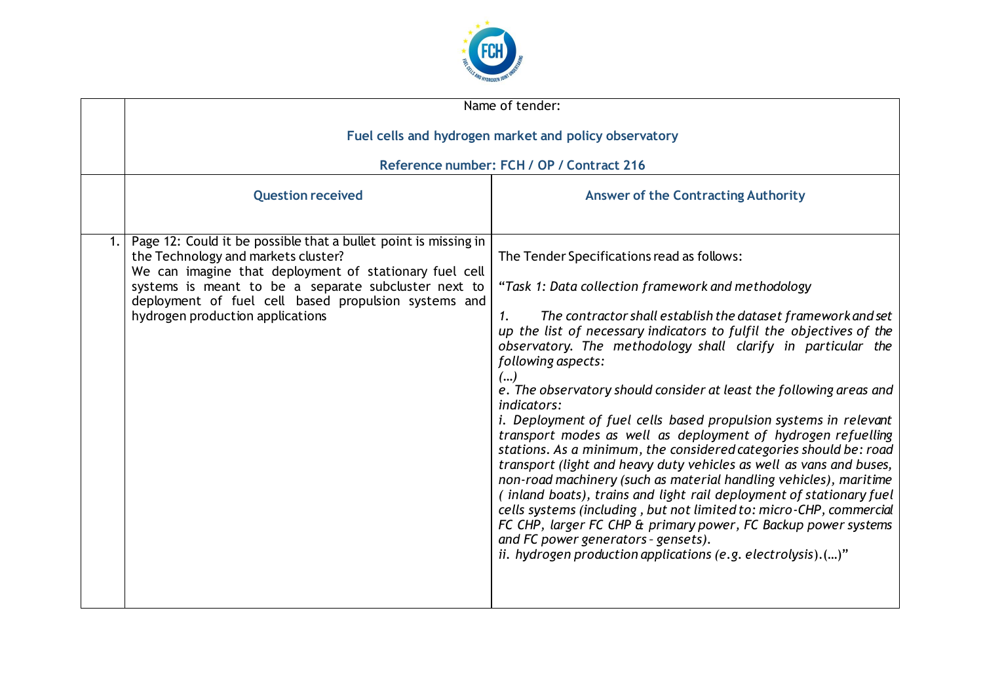

| Name of tender:                                                                                                                                                                                                                                                                                                      |                                                                                                                                                                                                                                                                                                                                                                                                                                                                                                                                                                                                                                                                                                                                                                                                                                                                                                                                                                                                                                                                                                                 |  |
|----------------------------------------------------------------------------------------------------------------------------------------------------------------------------------------------------------------------------------------------------------------------------------------------------------------------|-----------------------------------------------------------------------------------------------------------------------------------------------------------------------------------------------------------------------------------------------------------------------------------------------------------------------------------------------------------------------------------------------------------------------------------------------------------------------------------------------------------------------------------------------------------------------------------------------------------------------------------------------------------------------------------------------------------------------------------------------------------------------------------------------------------------------------------------------------------------------------------------------------------------------------------------------------------------------------------------------------------------------------------------------------------------------------------------------------------------|--|
| Fuel cells and hydrogen market and policy observatory                                                                                                                                                                                                                                                                |                                                                                                                                                                                                                                                                                                                                                                                                                                                                                                                                                                                                                                                                                                                                                                                                                                                                                                                                                                                                                                                                                                                 |  |
| Reference number: FCH / OP / Contract 216                                                                                                                                                                                                                                                                            |                                                                                                                                                                                                                                                                                                                                                                                                                                                                                                                                                                                                                                                                                                                                                                                                                                                                                                                                                                                                                                                                                                                 |  |
| <b>Question received</b>                                                                                                                                                                                                                                                                                             | <b>Answer of the Contracting Authority</b>                                                                                                                                                                                                                                                                                                                                                                                                                                                                                                                                                                                                                                                                                                                                                                                                                                                                                                                                                                                                                                                                      |  |
| Page 12: Could it be possible that a bullet point is missing in<br>the Technology and markets cluster?<br>We can imagine that deployment of stationary fuel cell<br>systems is meant to be a separate subcluster next to<br>deployment of fuel cell based propulsion systems and<br>hydrogen production applications | The Tender Specifications read as follows:<br>"Task 1: Data collection framework and methodology<br>The contractor shall establish the dataset framework and set<br>1.<br>up the list of necessary indicators to fulfil the objectives of the<br>observatory. The methodology shall clarify in particular the<br>following aspects:<br>()<br>e. The observatory should consider at least the following areas and<br>indicators:<br>i. Deployment of fuel cells based propulsion systems in relevant<br>transport modes as well as deployment of hydrogen refuelling<br>stations. As a minimum, the considered categories should be: road<br>transport (light and heavy duty vehicles as well as vans and buses,<br>non-road machinery (such as material handling vehicles), maritime<br>(inland boats), trains and light rail deployment of stationary fuel<br>cells systems (including, but not limited to: micro-CHP, commercial<br>FC CHP, larger FC CHP & primary power, FC Backup power systems<br>and FC power generators - gensets).<br>ii. hydrogen production applications (e.g. electrolysis). $()$ " |  |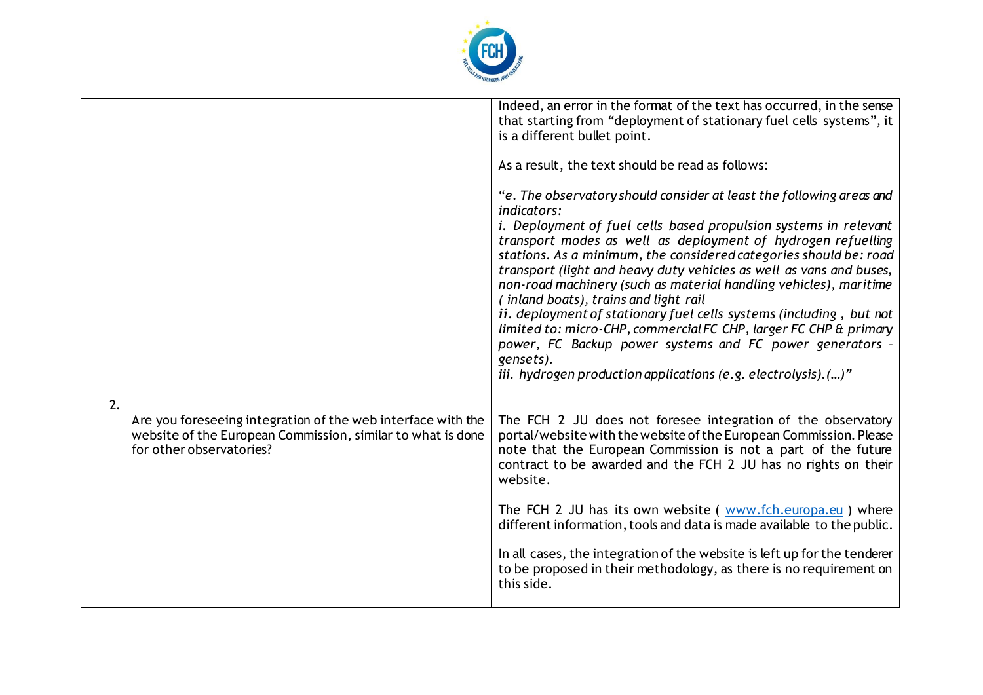

|                  |                                                                                                                                                         | Indeed, an error in the format of the text has occurred, in the sense<br>that starting from "deployment of stationary fuel cells systems", it<br>is a different bullet point.<br>As a result, the text should be read as follows:<br>"e. The observatory should consider at least the following areas and<br><i>indicators:</i><br>i. Deployment of fuel cells based propulsion systems in relevant<br>transport modes as well as deployment of hydrogen refuelling<br>stations. As a minimum, the considered categories should be: road<br>transport (light and heavy duty vehicles as well as vans and buses,<br>non-road machinery (such as material handling vehicles), maritime<br>(inland boats), trains and light rail<br>ii. deployment of stationary fuel cells systems (including, but not<br>limited to: micro-CHP, commercial FC CHP, larger FC CHP & primary<br>power, FC Backup power systems and FC power generators -<br>gensets).<br>iii. hydrogen production applications (e.g. electrolysis).()" |
|------------------|---------------------------------------------------------------------------------------------------------------------------------------------------------|---------------------------------------------------------------------------------------------------------------------------------------------------------------------------------------------------------------------------------------------------------------------------------------------------------------------------------------------------------------------------------------------------------------------------------------------------------------------------------------------------------------------------------------------------------------------------------------------------------------------------------------------------------------------------------------------------------------------------------------------------------------------------------------------------------------------------------------------------------------------------------------------------------------------------------------------------------------------------------------------------------------------|
| $\overline{2}$ . | Are you foreseeing integration of the web interface with the<br>website of the European Commission, similar to what is done<br>for other observatories? | The FCH 2 JU does not foresee integration of the observatory<br>portal/website with the website of the European Commission. Please<br>note that the European Commission is not a part of the future<br>contract to be awarded and the FCH 2 JU has no rights on their<br>website.<br>The FCH 2 JU has its own website ( www.fch.europa.eu ) where<br>different information, tools and data is made available to the public.<br>In all cases, the integration of the website is left up for the tenderer<br>to be proposed in their methodology, as there is no requirement on<br>this side.                                                                                                                                                                                                                                                                                                                                                                                                                         |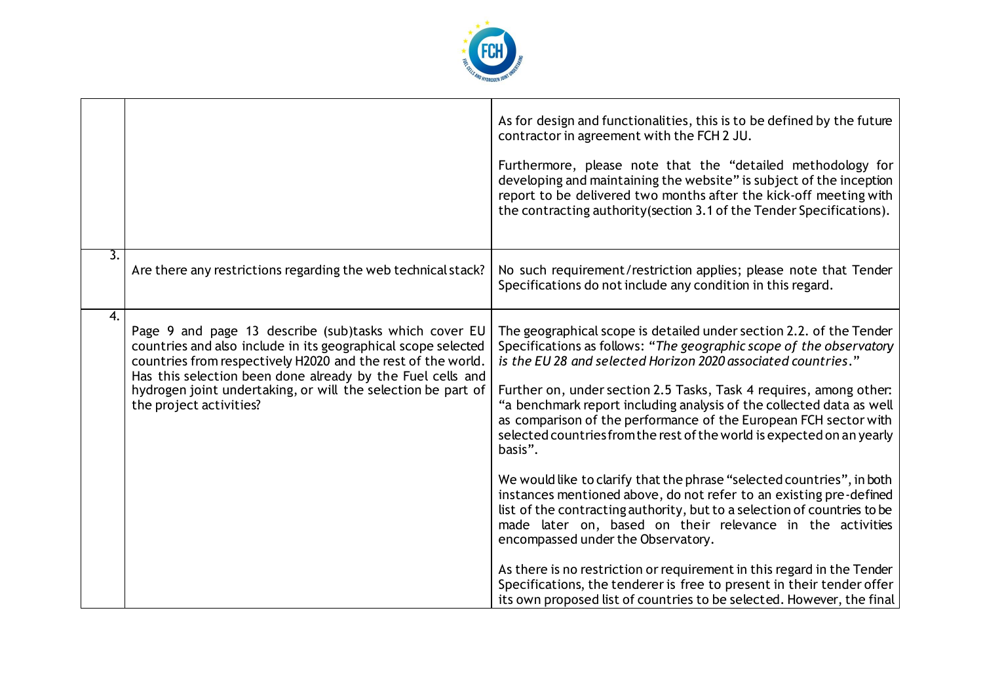

|                  |                                                                                                                                                                                                                                                                                                                                                 | As for design and functionalities, this is to be defined by the future<br>contractor in agreement with the FCH 2 JU.<br>Furthermore, please note that the "detailed methodology for<br>developing and maintaining the website" is subject of the inception<br>report to be delivered two months after the kick-off meeting with<br>the contracting authority (section 3.1 of the Tender Specifications).                                                                                                                                                                                                                                                                                                                                                                                                                                                                                                                                                                                                                                                                      |
|------------------|-------------------------------------------------------------------------------------------------------------------------------------------------------------------------------------------------------------------------------------------------------------------------------------------------------------------------------------------------|-------------------------------------------------------------------------------------------------------------------------------------------------------------------------------------------------------------------------------------------------------------------------------------------------------------------------------------------------------------------------------------------------------------------------------------------------------------------------------------------------------------------------------------------------------------------------------------------------------------------------------------------------------------------------------------------------------------------------------------------------------------------------------------------------------------------------------------------------------------------------------------------------------------------------------------------------------------------------------------------------------------------------------------------------------------------------------|
| $\overline{3}$ . | Are there any restrictions regarding the web technical stack?                                                                                                                                                                                                                                                                                   | No such requirement/restriction applies; please note that Tender<br>Specifications do not include any condition in this regard.                                                                                                                                                                                                                                                                                                                                                                                                                                                                                                                                                                                                                                                                                                                                                                                                                                                                                                                                               |
| 4.               | Page 9 and page 13 describe (sub)tasks which cover EU<br>countries and also include in its geographical scope selected<br>countries from respectively H2020 and the rest of the world.<br>Has this selection been done already by the Fuel cells and<br>hydrogen joint undertaking, or will the selection be part of<br>the project activities? | The geographical scope is detailed under section 2.2. of the Tender<br>Specifications as follows: "The geographic scope of the observatory<br>is the EU 28 and selected Horizon 2020 associated countries."<br>Further on, under section 2.5 Tasks, Task 4 requires, among other:<br>"a benchmark report including analysis of the collected data as well<br>as comparison of the performance of the European FCH sector with<br>selected countries from the rest of the world is expected on an yearly<br>basis".<br>We would like to clarify that the phrase "selected countries", in both<br>instances mentioned above, do not refer to an existing pre-defined<br>list of the contracting authority, but to a selection of countries to be<br>made later on, based on their relevance in the activities<br>encompassed under the Observatory.<br>As there is no restriction or requirement in this regard in the Tender<br>Specifications, the tenderer is free to present in their tender offer<br>its own proposed list of countries to be selected. However, the final |